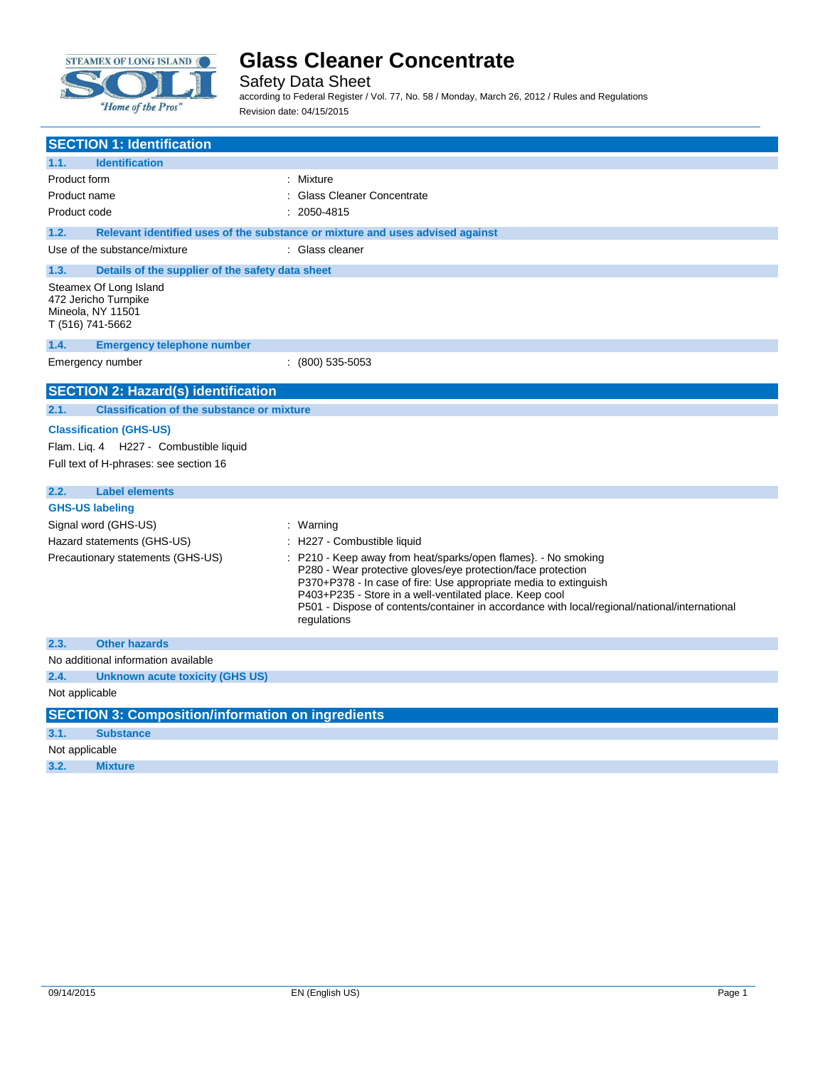

Safety Data Sheet

according to Federal Register / Vol. 77, No. 58 / Monday, March 26, 2012 / Rules and Regulations Revision date: 04/15/2015

| <b>SECTION 1: Identification</b>                                                                                   |                                                                                                                                                                                                                                                                                                                                                                             |
|--------------------------------------------------------------------------------------------------------------------|-----------------------------------------------------------------------------------------------------------------------------------------------------------------------------------------------------------------------------------------------------------------------------------------------------------------------------------------------------------------------------|
| <b>Identification</b><br>1.1.                                                                                      |                                                                                                                                                                                                                                                                                                                                                                             |
| Product form                                                                                                       | : Mixture                                                                                                                                                                                                                                                                                                                                                                   |
| Product name                                                                                                       | <b>Glass Cleaner Concentrate</b>                                                                                                                                                                                                                                                                                                                                            |
| Product code                                                                                                       | 2050-4815                                                                                                                                                                                                                                                                                                                                                                   |
| 1.2.                                                                                                               | Relevant identified uses of the substance or mixture and uses advised against                                                                                                                                                                                                                                                                                               |
| Use of the substance/mixture                                                                                       | : Glass cleaner                                                                                                                                                                                                                                                                                                                                                             |
| 1.3.<br>Details of the supplier of the safety data sheet                                                           |                                                                                                                                                                                                                                                                                                                                                                             |
| Steamex Of Long Island<br>472 Jericho Turnpike<br>Mineola, NY 11501<br>T (516) 741-5662                            |                                                                                                                                                                                                                                                                                                                                                                             |
| 1.4.<br><b>Emergency telephone number</b>                                                                          |                                                                                                                                                                                                                                                                                                                                                                             |
| Emergency number                                                                                                   | $(800)$ 535-5053                                                                                                                                                                                                                                                                                                                                                            |
| <b>SECTION 2: Hazard(s) identification</b>                                                                         |                                                                                                                                                                                                                                                                                                                                                                             |
| <b>Classification of the substance or mixture</b><br>2.1.                                                          |                                                                                                                                                                                                                                                                                                                                                                             |
| <b>Classification (GHS-US)</b><br>Flam. Lig. 4 H227 - Combustible liquid<br>Full text of H-phrases: see section 16 |                                                                                                                                                                                                                                                                                                                                                                             |
| 2.2.<br><b>Label elements</b>                                                                                      |                                                                                                                                                                                                                                                                                                                                                                             |
| <b>GHS-US labeling</b>                                                                                             |                                                                                                                                                                                                                                                                                                                                                                             |
| Signal word (GHS-US)                                                                                               | : Warning                                                                                                                                                                                                                                                                                                                                                                   |
| Hazard statements (GHS-US)                                                                                         | H227 - Combustible liquid                                                                                                                                                                                                                                                                                                                                                   |
| Precautionary statements (GHS-US)                                                                                  | P210 - Keep away from heat/sparks/open flames}. - No smoking<br>P280 - Wear protective gloves/eye protection/face protection<br>P370+P378 - In case of fire: Use appropriate media to extinguish<br>P403+P235 - Store in a well-ventilated place. Keep cool<br>P501 - Dispose of contents/container in accordance with local/regional/national/international<br>regulations |
| <b>Other hazards</b><br>2.3.                                                                                       |                                                                                                                                                                                                                                                                                                                                                                             |
| No additional information available                                                                                |                                                                                                                                                                                                                                                                                                                                                                             |
| 2.4.<br><b>Unknown acute toxicity (GHS US)</b>                                                                     |                                                                                                                                                                                                                                                                                                                                                                             |
| Not applicable                                                                                                     |                                                                                                                                                                                                                                                                                                                                                                             |
| <b>SECTION 3: Composition/information on ingredients</b>                                                           |                                                                                                                                                                                                                                                                                                                                                                             |
| 3.1.<br><b>Substance</b>                                                                                           |                                                                                                                                                                                                                                                                                                                                                                             |
| Not applicable                                                                                                     |                                                                                                                                                                                                                                                                                                                                                                             |
| 3.2.<br><b>Mixture</b>                                                                                             |                                                                                                                                                                                                                                                                                                                                                                             |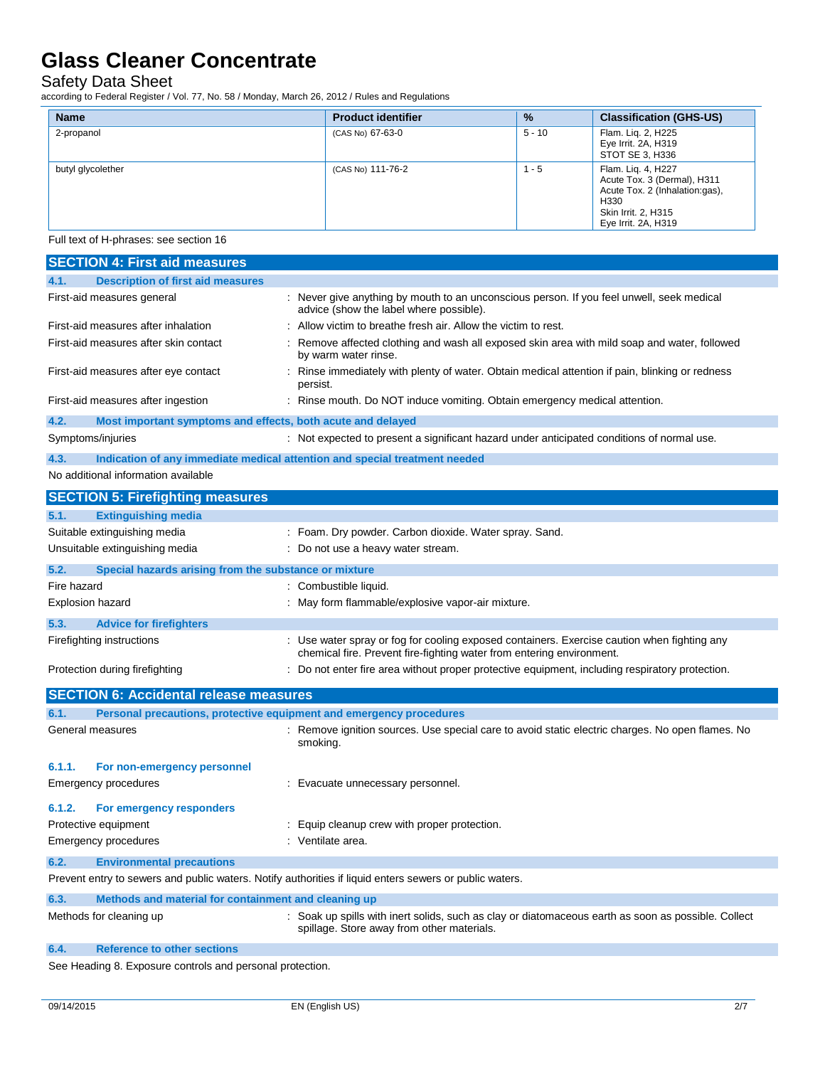Safety Data Sheet

according to Federal Register / Vol. 77, No. 58 / Monday, March 26, 2012 / Rules and Regulations

| <b>Name</b>       | <b>Product identifier</b> | $\frac{9}{6}$ | <b>Classification (GHS-US)</b>                                                                                                            |
|-------------------|---------------------------|---------------|-------------------------------------------------------------------------------------------------------------------------------------------|
| 2-propanol        | (CAS No) 67-63-0          | $5 - 10$      | Flam. Liq. 2, H225<br>Eye Irrit. 2A, H319<br>STOT SE 3, H336                                                                              |
| butyl glycolether | (CAS No) 111-76-2         | $1 - 5$       | Flam. Liq. 4, H227<br>Acute Tox. 3 (Dermal), H311<br>Acute Tox. 2 (Inhalation:gas),<br>H330<br>Skin Irrit. 2, H315<br>Eye Irrit. 2A, H319 |

Full text of H-phrases: see section 16

| <b>SECTION 4: First aid measures</b>                                                                    |                                                                                                                                                                      |
|---------------------------------------------------------------------------------------------------------|----------------------------------------------------------------------------------------------------------------------------------------------------------------------|
| 4.1.<br><b>Description of first aid measures</b>                                                        |                                                                                                                                                                      |
| First-aid measures general                                                                              | : Never give anything by mouth to an unconscious person. If you feel unwell, seek medical<br>advice (show the label where possible).                                 |
| First-aid measures after inhalation                                                                     | Allow victim to breathe fresh air. Allow the victim to rest.                                                                                                         |
| First-aid measures after skin contact                                                                   | : Remove affected clothing and wash all exposed skin area with mild soap and water, followed<br>by warm water rinse.                                                 |
| First-aid measures after eye contact                                                                    | : Rinse immediately with plenty of water. Obtain medical attention if pain, blinking or redness<br>persist.                                                          |
| First-aid measures after ingestion                                                                      | : Rinse mouth. Do NOT induce vomiting. Obtain emergency medical attention.                                                                                           |
| 4.2.<br>Most important symptoms and effects, both acute and delayed                                     |                                                                                                                                                                      |
| Symptoms/injuries                                                                                       | : Not expected to present a significant hazard under anticipated conditions of normal use.                                                                           |
| 4.3.                                                                                                    | Indication of any immediate medical attention and special treatment needed                                                                                           |
| No additional information available                                                                     |                                                                                                                                                                      |
| <b>SECTION 5: Firefighting measures</b>                                                                 |                                                                                                                                                                      |
| 5.1.<br><b>Extinguishing media</b>                                                                      |                                                                                                                                                                      |
| Suitable extinguishing media                                                                            | : Foam. Dry powder. Carbon dioxide. Water spray. Sand.                                                                                                               |
| Unsuitable extinguishing media                                                                          | : Do not use a heavy water stream.                                                                                                                                   |
| 5.2.<br>Special hazards arising from the substance or mixture                                           |                                                                                                                                                                      |
| Fire hazard                                                                                             | : Combustible liquid.                                                                                                                                                |
| <b>Explosion hazard</b>                                                                                 | : May form flammable/explosive vapor-air mixture.                                                                                                                    |
| 5.3.<br><b>Advice for firefighters</b>                                                                  |                                                                                                                                                                      |
| Firefighting instructions                                                                               | : Use water spray or fog for cooling exposed containers. Exercise caution when fighting any<br>chemical fire. Prevent fire-fighting water from entering environment. |
| Protection during firefighting                                                                          | : Do not enter fire area without proper protective equipment, including respiratory protection.                                                                      |
| <b>SECTION 6: Accidental release measures</b>                                                           |                                                                                                                                                                      |
| 6.1.<br>Personal precautions, protective equipment and emergency procedures                             |                                                                                                                                                                      |
| General measures                                                                                        | Remove ignition sources. Use special care to avoid static electric charges. No open flames. No<br>smoking.                                                           |
| 6.1.1.<br>For non-emergency personnel                                                                   |                                                                                                                                                                      |
| Emergency procedures                                                                                    | : Evacuate unnecessary personnel.                                                                                                                                    |
| 6.1.2.<br>For emergency responders                                                                      |                                                                                                                                                                      |
| Protective equipment                                                                                    | : Equip cleanup crew with proper protection.                                                                                                                         |
| Emergency procedures                                                                                    | : Ventilate area.                                                                                                                                                    |
| 6.2.<br><b>Environmental precautions</b>                                                                |                                                                                                                                                                      |
| Prevent entry to sewers and public waters. Notify authorities if liquid enters sewers or public waters. |                                                                                                                                                                      |
| 6.3.<br>Methods and material for containment and cleaning up                                            |                                                                                                                                                                      |
| Methods for cleaning up                                                                                 | : Soak up spills with inert solids, such as clay or diatomaceous earth as soon as possible. Collect<br>spillage. Store away from other materials.                    |

#### **6.4. Reference to other sections**

See Heading 8. Exposure controls and personal protection.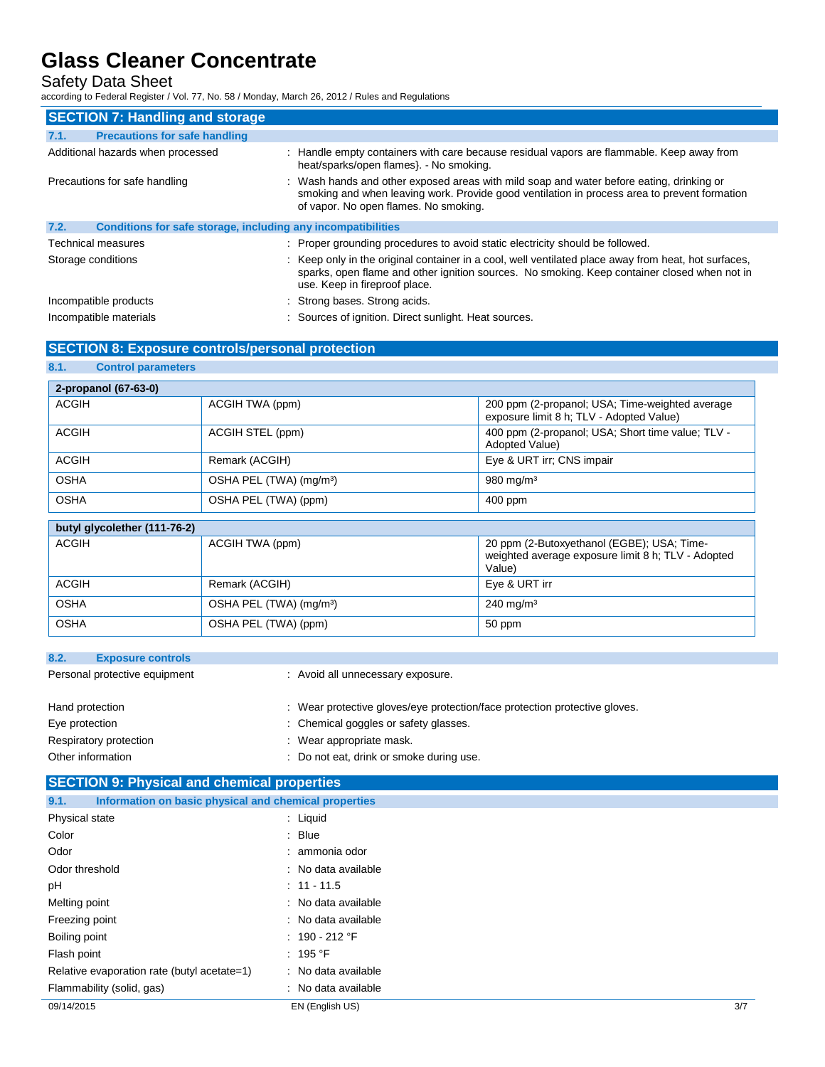### Safety Data Sheet

according to Federal Register / Vol. 77, No. 58 / Monday, March 26, 2012 / Rules and Regulations

| <b>SECTION 7: Handling and storage</b>                               |                                                                                                                                                                                                                                       |
|----------------------------------------------------------------------|---------------------------------------------------------------------------------------------------------------------------------------------------------------------------------------------------------------------------------------|
| <b>Precautions for safe handling</b><br>7.1.                         |                                                                                                                                                                                                                                       |
| Additional hazards when processed                                    | : Handle empty containers with care because residual vapors are flammable. Keep away from<br>heat/sparks/open flames}. - No smoking.                                                                                                  |
| Precautions for safe handling                                        | : Wash hands and other exposed areas with mild soap and water before eating, drinking or<br>smoking and when leaving work. Provide good ventilation in process area to prevent formation<br>of vapor. No open flames. No smoking.     |
| 7.2.<br>Conditions for safe storage, including any incompatibilities |                                                                                                                                                                                                                                       |
| Technical measures                                                   | : Proper grounding procedures to avoid static electricity should be followed.                                                                                                                                                         |
| Storage conditions                                                   | : Keep only in the original container in a cool, well ventilated place away from heat, hot surfaces,<br>sparks, open flame and other ignition sources. No smoking. Keep container closed when not in<br>use. Keep in fireproof place. |
| Incompatible products                                                | : Strong bases. Strong acids.                                                                                                                                                                                                         |
| Incompatible materials                                               | : Sources of ignition. Direct sunlight. Heat sources.                                                                                                                                                                                 |

### **SECTION 8: Exposure controls/personal protection**

| 8.1.<br><b>Control parameters</b> |                                     |                                                                                                            |
|-----------------------------------|-------------------------------------|------------------------------------------------------------------------------------------------------------|
| 2-propanol (67-63-0)              |                                     |                                                                                                            |
| <b>ACGIH</b>                      | ACGIH TWA (ppm)                     | 200 ppm (2-propanol; USA; Time-weighted average<br>exposure limit 8 h; TLV - Adopted Value)                |
| <b>ACGIH</b>                      | ACGIH STEL (ppm)                    | 400 ppm (2-propanol; USA; Short time value; TLV -<br>Adopted Value)                                        |
| <b>ACGIH</b>                      | Remark (ACGIH)                      | Eye & URT irr; CNS impair                                                                                  |
| <b>OSHA</b>                       | OSHA PEL (TWA) (mg/m <sup>3</sup> ) | $980$ mg/m <sup>3</sup>                                                                                    |
| <b>OSHA</b>                       | OSHA PEL (TWA) (ppm)                | 400 ppm                                                                                                    |
| butyl glycolether (111-76-2)      |                                     |                                                                                                            |
| <b>ACGIH</b>                      | ACGIH TWA (ppm)                     | 20 ppm (2-Butoxyethanol (EGBE); USA; Time-<br>weighted average exposure limit 8 h; TLV - Adopted<br>Value) |
| <b>ACGIH</b>                      | Remark (ACGIH)                      | Eye & URT irr                                                                                              |
| <b>OSHA</b>                       | OSHA PEL (TWA) (mg/m <sup>3</sup> ) | $240$ mg/m <sup>3</sup>                                                                                    |
| <b>OSHA</b>                       | OSHA PEL (TWA) (ppm)                | 50 ppm                                                                                                     |

| : Avoid all unnecessary exposure.                                          |
|----------------------------------------------------------------------------|
|                                                                            |
| : Wear protective gloves/eye protection/face protection protective gloves. |
| : Chemical goggles or safety glasses.                                      |
| : Wear appropriate mask.                                                   |
| : Do not eat, drink or smoke during use.                                   |
|                                                                            |

### **SECTION 9: Physical and chemical properties**

| Information on basic physical and chemical properties<br>9.1. |                     |     |
|---------------------------------------------------------------|---------------------|-----|
| Physical state                                                | : Liquid            |     |
| Color                                                         | $:$ Blue            |     |
| Odor                                                          | : ammonia odor      |     |
| Odor threshold                                                | : No data available |     |
| рH                                                            | $: 11 - 11.5$       |     |
| Melting point                                                 | : No data available |     |
| Freezing point                                                | : No data available |     |
| Boiling point                                                 | : $190 - 212$ °F    |     |
| Flash point                                                   | : 195 °F            |     |
| Relative evaporation rate (butyl acetate=1)                   | : No data available |     |
| Flammability (solid, gas)                                     | : No data available |     |
| 09/14/2015                                                    | EN (English US)     | 3/7 |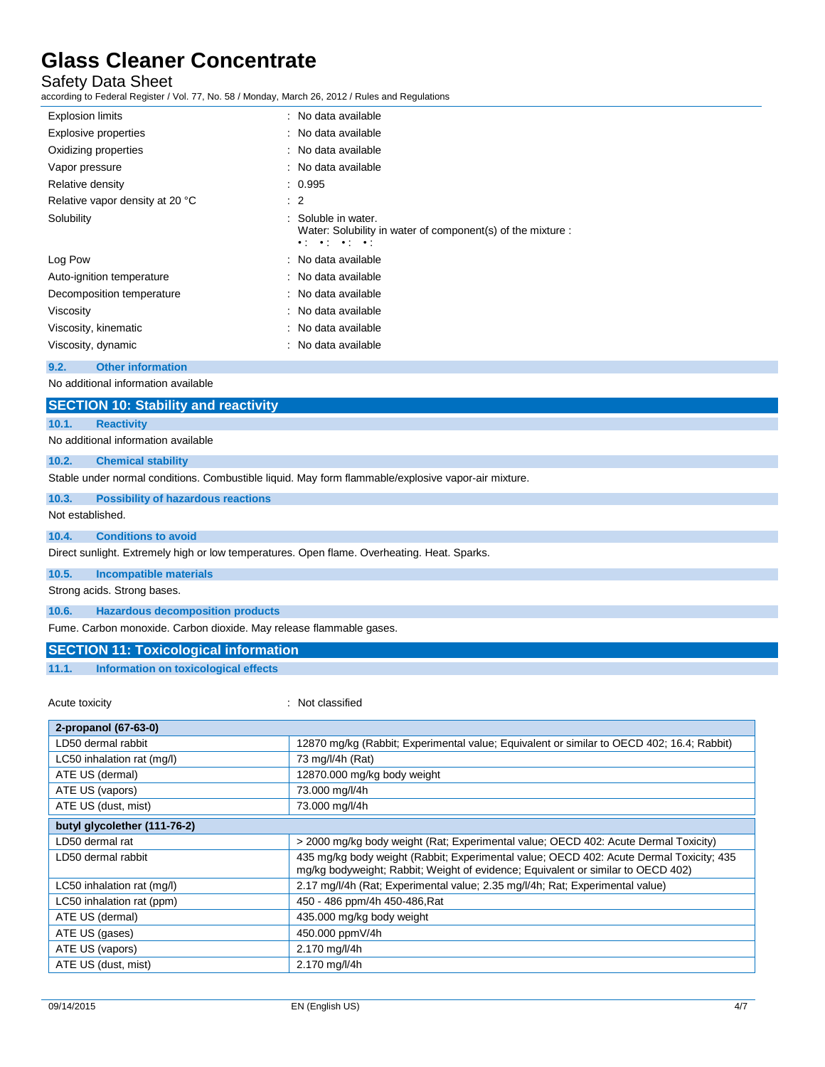Safety Data Sheet

according to Federal Register / Vol. 77, No. 58 / Monday, March 26, 2012 / Rules and Regulations

| <b>Explosion limits</b>         | : No data available                                                                                                                   |  |
|---------------------------------|---------------------------------------------------------------------------------------------------------------------------------------|--|
| Explosive properties            | : No data available                                                                                                                   |  |
| Oxidizing properties            | : No data available                                                                                                                   |  |
| Vapor pressure                  | : No data available                                                                                                                   |  |
| Relative density                | : 0.995                                                                                                                               |  |
| Relative vapor density at 20 °C | $\therefore$ 2                                                                                                                        |  |
| Solubility                      | : Soluble in water.<br>Water: Solubility in water of component(s) of the mixture :<br>$\bullet$ , $\bullet$ , $\bullet$ , $\bullet$ , |  |
| Log Pow                         | : No data available                                                                                                                   |  |
| Auto-ignition temperature       | : No data available                                                                                                                   |  |
| Decomposition temperature       | : No data available                                                                                                                   |  |
| Viscosity                       | : No data available                                                                                                                   |  |
| Viscosity, kinematic            | : No data available                                                                                                                   |  |
| Viscosity, dynamic              | : No data available                                                                                                                   |  |
|                                 |                                                                                                                                       |  |

#### **9.2. Other information**

No additional information available

| <b>SECTION 10: Stability and reactivity</b> |
|---------------------------------------------|
|---------------------------------------------|

#### **10.1. Reactivity**

No additional information available

#### **10.2. Chemical stability**

Stable under normal conditions. Combustible liquid. May form flammable/explosive vapor-air mixture.

#### **10.3. Possibility of hazardous reactions**

Not established.

#### **10.4. Conditions to avoid**

Direct sunlight. Extremely high or low temperatures. Open flame. Overheating. Heat. Sparks.

**10.5. Incompatible materials**

Strong acids. Strong bases.

**10.6. Hazardous decomposition products**

Fume. Carbon monoxide. Carbon dioxide. May release flammable gases.

#### **SECTION 11: Toxicological information**

**11.1. Information on toxicological effects**

Acute toxicity in the contract of the classified in the classified in the classified in the classified in the classified in the classified in the classified in the classified in the classified in the classified in the clas

| 2-propanol (67-63-0)         |                                                                                                                                                                             |
|------------------------------|-----------------------------------------------------------------------------------------------------------------------------------------------------------------------------|
| LD50 dermal rabbit           | 12870 mg/kg (Rabbit; Experimental value; Equivalent or similar to OECD 402; 16.4; Rabbit)                                                                                   |
| LC50 inhalation rat (mg/l)   | 73 mg/l/4h (Rat)                                                                                                                                                            |
| ATE US (dermal)              | 12870.000 mg/kg body weight                                                                                                                                                 |
| ATE US (vapors)              | 73.000 mg/l/4h                                                                                                                                                              |
| ATE US (dust, mist)          | 73.000 mg/l/4h                                                                                                                                                              |
| butyl glycolether (111-76-2) |                                                                                                                                                                             |
| LD50 dermal rat              | > 2000 mg/kg body weight (Rat; Experimental value; OECD 402: Acute Dermal Toxicity)                                                                                         |
| LD50 dermal rabbit           | 435 mg/kg body weight (Rabbit; Experimental value; OECD 402: Acute Dermal Toxicity; 435<br>mg/kg bodyweight; Rabbit; Weight of evidence; Equivalent or similar to OECD 402) |
| LC50 inhalation rat (mg/l)   | 2.17 mg/l/4h (Rat; Experimental value; 2.35 mg/l/4h; Rat; Experimental value)                                                                                               |
| LC50 inhalation rat (ppm)    | 450 - 486 ppm/4h 450-486, Rat                                                                                                                                               |
| ATE US (dermal)              | 435.000 mg/kg body weight                                                                                                                                                   |
| ATE US (gases)               | 450.000 ppmV/4h                                                                                                                                                             |
| ATE US (vapors)              | 2.170 mg/l/4h                                                                                                                                                               |
| ATE US (dust, mist)          | 2.170 mg/l/4h                                                                                                                                                               |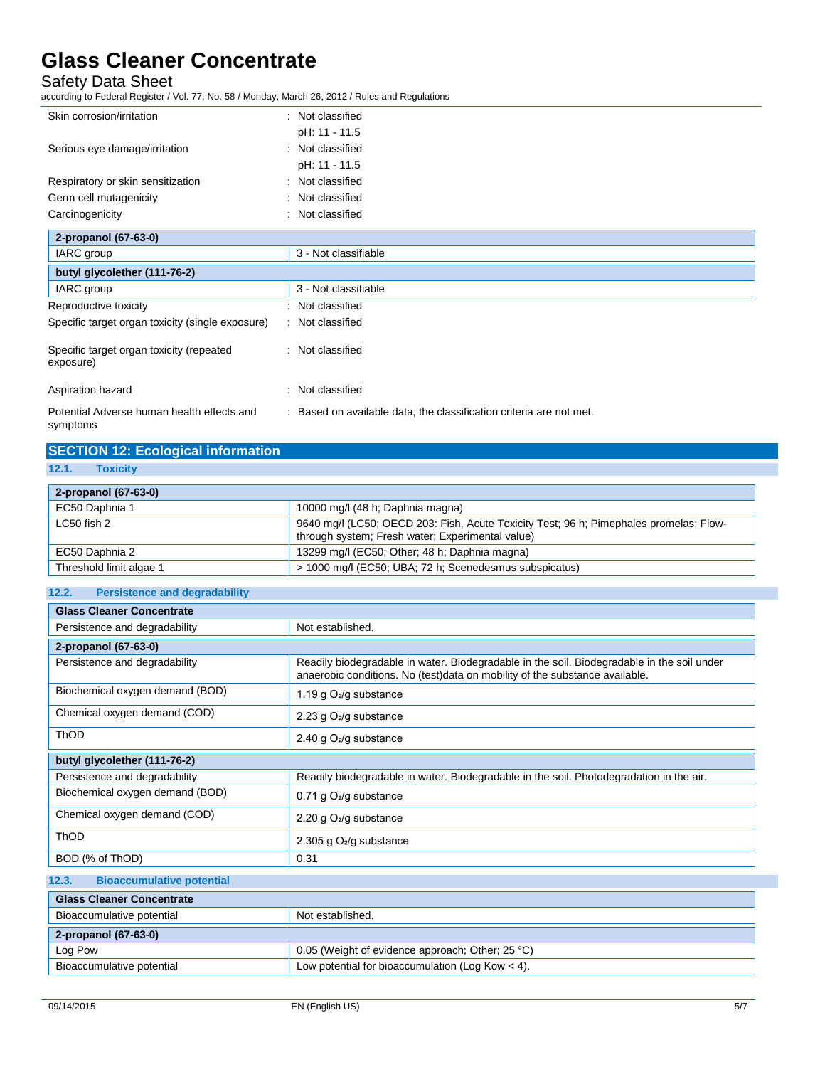Safety Data Sheet

according to Federal Register / Vol. 77, No. 58 / Monday, March 26, 2012 / Rules and Regulations

| Skin corrosion/irritation                              | : Not classified                                                    |
|--------------------------------------------------------|---------------------------------------------------------------------|
|                                                        | pH: 11 - 11.5                                                       |
| Serious eye damage/irritation                          | : Not classified                                                    |
|                                                        | pH: 11 - 11.5                                                       |
| Respiratory or skin sensitization                      | : Not classified                                                    |
| Germ cell mutagenicity                                 | : Not classified                                                    |
| Carcinogenicity                                        | Not classified                                                      |
| 2-propanol (67-63-0)                                   |                                                                     |
| IARC group                                             | 3 - Not classifiable                                                |
| butyl glycolether (111-76-2)                           |                                                                     |
| IARC group                                             | 3 - Not classifiable                                                |
| Reproductive toxicity                                  | : Not classified                                                    |
| Specific target organ toxicity (single exposure)       | : Not classified                                                    |
| Specific target organ toxicity (repeated<br>exposure)  | : Not classified                                                    |
| Aspiration hazard                                      | : Not classified                                                    |
| Potential Adverse human health effects and<br>symptoms | : Based on available data, the classification criteria are not met. |

| <b>SECTION 12: Ecological information</b> |
|-------------------------------------------|
| 12.1. Toxicity                            |

| 2-propanol (67-63-0)    |                                                                                                                                            |
|-------------------------|--------------------------------------------------------------------------------------------------------------------------------------------|
| EC50 Daphnia 1          | 10000 mg/l (48 h; Daphnia magna)                                                                                                           |
| LC50 fish 2             | 9640 mg/l (LC50; OECD 203: Fish, Acute Toxicity Test; 96 h; Pimephales promelas; Flow-<br>through system; Fresh water; Experimental value) |
| EC50 Daphnia 2          | 13299 mg/l (EC50; Other; 48 h; Daphnia magna)                                                                                              |
| Threshold limit algae 1 | > 1000 mg/l (EC50; UBA; 72 h; Scenedesmus subspicatus)                                                                                     |

| 12.2. | <b>Persistence and degradability</b> |
|-------|--------------------------------------|
|       |                                      |
|       |                                      |

| <b>Glass Cleaner Concentrate</b>          |                                                                                                                                                                           |
|-------------------------------------------|---------------------------------------------------------------------------------------------------------------------------------------------------------------------------|
| Persistence and degradability             | Not established.                                                                                                                                                          |
| 2-propanol (67-63-0)                      |                                                                                                                                                                           |
| Persistence and degradability             | Readily biodegradable in water. Biodegradable in the soil. Biodegradable in the soil under<br>anaerobic conditions. No (test)data on mobility of the substance available. |
| Biochemical oxygen demand (BOD)           | 1.19 g $O_2$ /g substance                                                                                                                                                 |
| Chemical oxygen demand (COD)              | 2.23 g O <sub>2</sub> /g substance                                                                                                                                        |
| <b>ThOD</b>                               | 2.40 g $O_2$ /g substance                                                                                                                                                 |
| butyl glycolether (111-76-2)              |                                                                                                                                                                           |
| Persistence and degradability             | Readily biodegradable in water. Biodegradable in the soil. Photodegradation in the air.                                                                                   |
| Biochemical oxygen demand (BOD)           | 0.71 g O <sub>2</sub> /g substance                                                                                                                                        |
| Chemical oxygen demand (COD)              | 2.20 g O <sub>2</sub> /g substance                                                                                                                                        |
| <b>ThOD</b>                               | 2.305 g $O_2$ /g substance                                                                                                                                                |
| BOD (% of ThOD)                           | 0.31                                                                                                                                                                      |
| 12.3.<br><b>Bioaccumulative potential</b> |                                                                                                                                                                           |

| <b>Glass Cleaner Concentrate</b> |                                                    |
|----------------------------------|----------------------------------------------------|
| Bioaccumulative potential        | Not established.                                   |
| 2-propanol (67-63-0)             |                                                    |
| Log Pow                          | 0.05 (Weight of evidence approach; Other; 25 °C)   |
| Bioaccumulative potential        | Low potential for bioaccumulation (Log Kow $<$ 4). |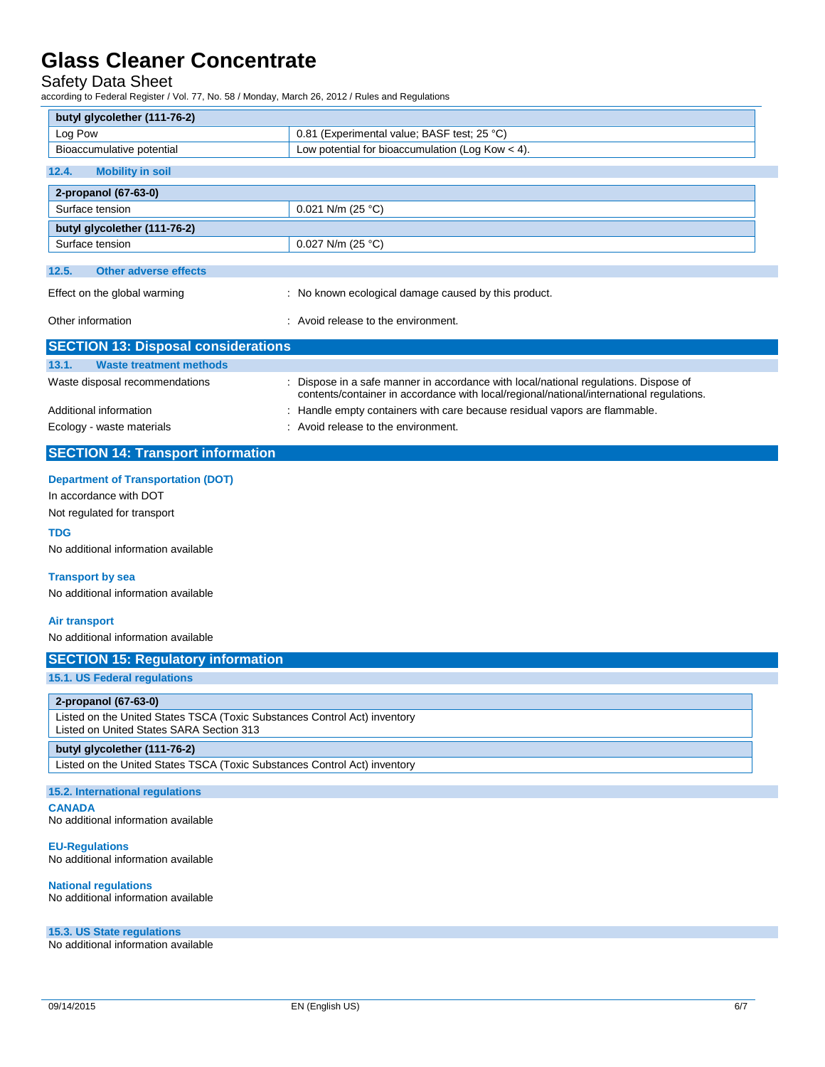Safety Data Sheet

according to Federal Register / Vol. 77, No. 58 / Monday, March 26, 2012 / Rules and Regulations

| ccording to Federal Register / Vol. 77, No. 58 / Monday, March 26, 2012 / Rules and Regulations                       |                                                                                                                                                                                  |  |
|-----------------------------------------------------------------------------------------------------------------------|----------------------------------------------------------------------------------------------------------------------------------------------------------------------------------|--|
| butyl glycolether (111-76-2)                                                                                          |                                                                                                                                                                                  |  |
| Log Pow                                                                                                               | 0.81 (Experimental value; BASF test; 25 °C)                                                                                                                                      |  |
| Bioaccumulative potential<br>Low potential for bioaccumulation (Log Kow $<$ 4).                                       |                                                                                                                                                                                  |  |
| <b>Mobility in soil</b><br>12.4.                                                                                      |                                                                                                                                                                                  |  |
| 2-propanol (67-63-0)                                                                                                  |                                                                                                                                                                                  |  |
| Surface tension<br>0.021 N/m (25 °C)                                                                                  |                                                                                                                                                                                  |  |
| butyl glycolether (111-76-2)                                                                                          |                                                                                                                                                                                  |  |
| Surface tension                                                                                                       | 0.027 N/m (25 $^{\circ}$ C)                                                                                                                                                      |  |
|                                                                                                                       |                                                                                                                                                                                  |  |
| 12.5.<br><b>Other adverse effects</b>                                                                                 |                                                                                                                                                                                  |  |
| Effect on the global warming                                                                                          | : No known ecological damage caused by this product.                                                                                                                             |  |
| Other information                                                                                                     | : Avoid release to the environment.                                                                                                                                              |  |
| <b>SECTION 13: Disposal considerations</b>                                                                            |                                                                                                                                                                                  |  |
| 13.1.<br><b>Waste treatment methods</b>                                                                               |                                                                                                                                                                                  |  |
| Waste disposal recommendations                                                                                        | : Dispose in a safe manner in accordance with local/national regulations. Dispose of<br>contents/container in accordance with local/regional/national/international regulations. |  |
| Additional information                                                                                                | : Handle empty containers with care because residual vapors are flammable.                                                                                                       |  |
| Ecology - waste materials                                                                                             | : Avoid release to the environment.                                                                                                                                              |  |
| <b>SECTION 14: Transport information</b>                                                                              |                                                                                                                                                                                  |  |
| <b>Department of Transportation (DOT)</b>                                                                             |                                                                                                                                                                                  |  |
| In accordance with DOT                                                                                                |                                                                                                                                                                                  |  |
| Not regulated for transport                                                                                           |                                                                                                                                                                                  |  |
| <b>TDG</b>                                                                                                            |                                                                                                                                                                                  |  |
| No additional information available                                                                                   |                                                                                                                                                                                  |  |
| <b>Transport by sea</b>                                                                                               |                                                                                                                                                                                  |  |
| No additional information available                                                                                   |                                                                                                                                                                                  |  |
| <b>Air transport</b>                                                                                                  |                                                                                                                                                                                  |  |
| No additional information available                                                                                   |                                                                                                                                                                                  |  |
| <b>SECTION 15: Regulatory information</b>                                                                             |                                                                                                                                                                                  |  |
| 15.1. US Federal regulations                                                                                          |                                                                                                                                                                                  |  |
|                                                                                                                       |                                                                                                                                                                                  |  |
| 2-propanol (67-63-0)                                                                                                  |                                                                                                                                                                                  |  |
| Listed on the United States TSCA (Toxic Substances Control Act) inventory<br>Listed on United States SARA Section 313 |                                                                                                                                                                                  |  |
| butyl glycolether (111-76-2)                                                                                          |                                                                                                                                                                                  |  |
| Listed on the United States TSCA (Toxic Substances Control Act) inventory                                             |                                                                                                                                                                                  |  |
| <b>15.2. International regulations</b>                                                                                |                                                                                                                                                                                  |  |
| <b>CANADA</b>                                                                                                         |                                                                                                                                                                                  |  |
| No additional information available                                                                                   |                                                                                                                                                                                  |  |
| <b>EU-Regulations</b><br>No additional information available                                                          |                                                                                                                                                                                  |  |
| <b>National regulations</b><br>No additional information available                                                    |                                                                                                                                                                                  |  |
| 15.3. US State regulations                                                                                            |                                                                                                                                                                                  |  |

No additional information available